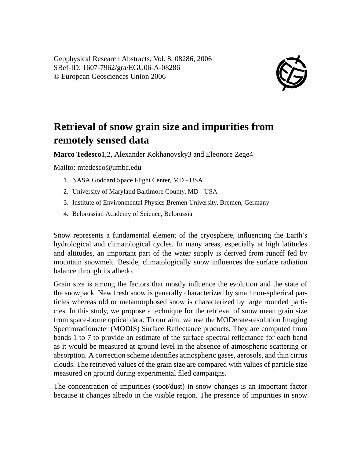Geophysical Research Abstracts, Vol. 8, 08286, 2006 SRef-ID: 1607-7962/gra/EGU06-A-08286 © European Geosciences Union 2006



## **Retrieval of snow grain size and impurities from remotely sensed data**

**Marco Tedesco**1,2, Alexander Kokhanovsky3 and Eleonore Zege4

Mailto: mtedesco@umbc.edu

- 1. NASA Goddard Space Flight Center, MD USA
- 2. University of Maryland Baltimore County, MD USA
- 3. Institute of Environmental Physics Bremen University, Bremen, Germany
- 4. Belorussian Academy of Science, Belorussia

Snow represents a fundamental element of the cryosphere, influencing the Earth's hydrological and climatological cycles. In many areas, especially at high latitudes and altitudes, an important part of the water supply is derived from runoff fed by mountain snowmelt. Beside, climatologically snow influences the surface radiation balance through its albedo.

Grain size is among the factors that mostly influence the evolution and the state of the snowpack. New fresh snow is generally characterized by small non-spherical particles whereas old or metamorphosed snow is characterized by large rounded particles. In this study, we propose a technique for the retrieval of snow mean grain size from space-borne optical data. To our aim, we use the MODerate-resolution Imaging Spectroradiometer (MODIS) Surface Reflectance products. They are computed from bands 1 to 7 to provide an estimate of the surface spectral reflectance for each band as it would be measured at ground level in the absence of atmospheric scattering or absorption. A correction scheme identifies atmospheric gases, aerosols, and thin cirrus clouds. The retrieved values of the grain size are compared with values of particle size measured on ground during experimental filed campaigns.

The concentration of impurities (soot/dust) in snow changes is an important factor because it changes albedo in the visible region. The presence of impurities in snow